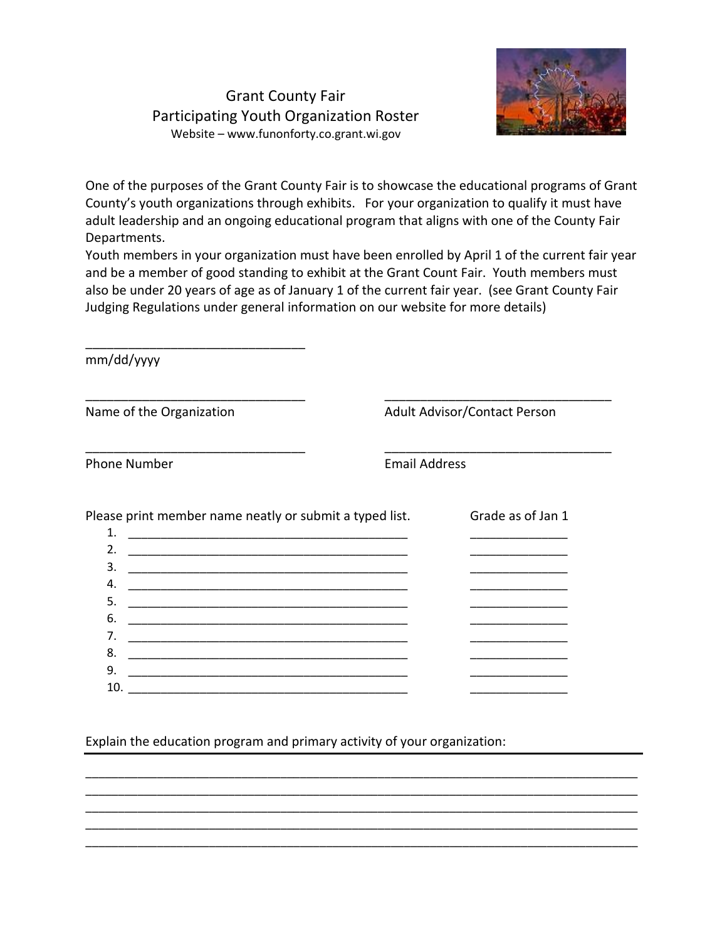## Grant County Fair Participating Youth Organization Roster Website – www.funonforty.co.grant.wi.gov



One of the purposes of the Grant County Fair is to showcase the educational programs of Grant County's youth organizations through exhibits. For your organization to qualify it must have adult leadership and an ongoing educational program that aligns with one of the County Fair Departments.

Youth members in your organization must have been enrolled by April 1 of the current fair year and be a member of good standing to exhibit at the Grant Count Fair. Youth members must also be under 20 years of age as of January 1 of the current fair year. (see Grant County Fair Judging Regulations under general information on our website for more details)

| mm/dd/yyyy                                              |                                                               |                                     |  |  |
|---------------------------------------------------------|---------------------------------------------------------------|-------------------------------------|--|--|
| Name of the Organization                                |                                                               | <b>Adult Advisor/Contact Person</b> |  |  |
| <b>Phone Number</b>                                     |                                                               | <b>Email Address</b>                |  |  |
| Please print member name neatly or submit a typed list. |                                                               | Grade as of Jan 1                   |  |  |
| 1.<br>2.                                                |                                                               |                                     |  |  |
| 3.                                                      |                                                               |                                     |  |  |
| 4.                                                      |                                                               |                                     |  |  |
| 5.                                                      | <u> 1980 - Johann Barn, mars an t-Amerikaansk politiker (</u> |                                     |  |  |
| 6.                                                      |                                                               |                                     |  |  |
| 7.                                                      |                                                               |                                     |  |  |
| 8.                                                      |                                                               |                                     |  |  |
| 9.                                                      |                                                               |                                     |  |  |
| 10.                                                     |                                                               |                                     |  |  |

\_\_\_\_\_\_\_\_\_\_\_\_\_\_\_\_\_\_\_\_\_\_\_\_\_\_\_\_\_\_\_\_\_\_\_\_\_\_\_\_\_\_\_\_\_\_\_\_\_\_\_\_\_\_\_\_\_\_\_\_\_\_\_\_\_\_\_\_\_\_\_\_\_\_\_\_\_\_\_\_\_\_\_\_\_ \_\_\_\_\_\_\_\_\_\_\_\_\_\_\_\_\_\_\_\_\_\_\_\_\_\_\_\_\_\_\_\_\_\_\_\_\_\_\_\_\_\_\_\_\_\_\_\_\_\_\_\_\_\_\_\_\_\_\_\_\_\_\_\_\_\_\_\_\_\_\_\_\_\_\_\_\_\_\_\_\_\_\_\_\_ \_\_\_\_\_\_\_\_\_\_\_\_\_\_\_\_\_\_\_\_\_\_\_\_\_\_\_\_\_\_\_\_\_\_\_\_\_\_\_\_\_\_\_\_\_\_\_\_\_\_\_\_\_\_\_\_\_\_\_\_\_\_\_\_\_\_\_\_\_\_\_\_\_\_\_\_\_\_\_\_\_\_\_\_\_ \_\_\_\_\_\_\_\_\_\_\_\_\_\_\_\_\_\_\_\_\_\_\_\_\_\_\_\_\_\_\_\_\_\_\_\_\_\_\_\_\_\_\_\_\_\_\_\_\_\_\_\_\_\_\_\_\_\_\_\_\_\_\_\_\_\_\_\_\_\_\_\_\_\_\_\_\_\_\_\_\_\_\_\_\_ \_\_\_\_\_\_\_\_\_\_\_\_\_\_\_\_\_\_\_\_\_\_\_\_\_\_\_\_\_\_\_\_\_\_\_\_\_\_\_\_\_\_\_\_\_\_\_\_\_\_\_\_\_\_\_\_\_\_\_\_\_\_\_\_\_\_\_\_\_\_\_\_\_\_\_\_\_\_\_\_\_\_\_\_\_

Explain the education program and primary activity of your organization: